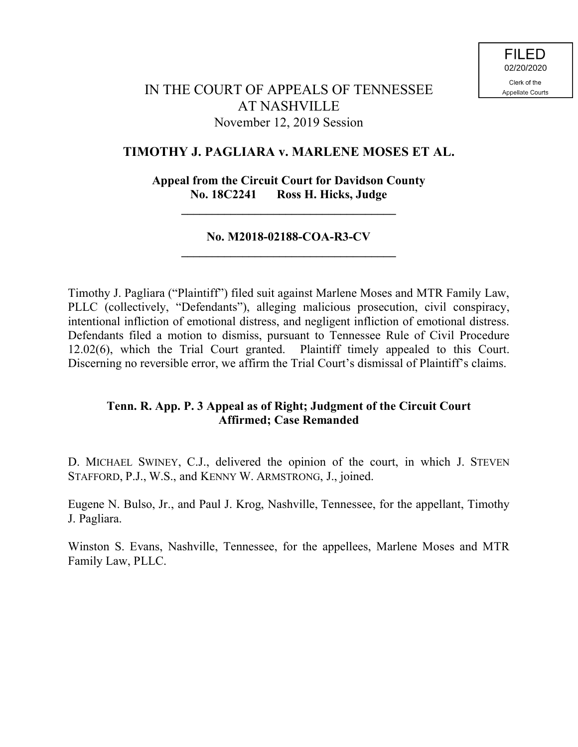# IN THE COURT OF APPEALS OF TENNESSEE AT NASHVILLE November 12, 2019 Session

## **TIMOTHY J. PAGLIARA v. MARLENE MOSES ET AL.**

## **Appeal from the Circuit Court for Davidson County No. 18C2241 Ross H. Hicks, Judge**

**\_\_\_\_\_\_\_\_\_\_\_\_\_\_\_\_\_\_\_\_\_\_\_\_\_\_\_\_\_\_\_\_\_\_\_**

## **No. M2018-02188-COA-R3-CV \_\_\_\_\_\_\_\_\_\_\_\_\_\_\_\_\_\_\_\_\_\_\_\_\_\_\_\_\_\_\_\_\_\_\_**

Timothy J. Pagliara ("Plaintiff") filed suit against Marlene Moses and MTR Family Law, PLLC (collectively, "Defendants"), alleging malicious prosecution, civil conspiracy, intentional infliction of emotional distress, and negligent infliction of emotional distress. Defendants filed a motion to dismiss, pursuant to Tennessee Rule of Civil Procedure 12.02(6), which the Trial Court granted. Plaintiff timely appealed to this Court. Discerning no reversible error, we affirm the Trial Court's dismissal of Plaintiff's claims.

## **Tenn. R. App. P. 3 Appeal as of Right; Judgment of the Circuit Court Affirmed; Case Remanded**

D. MICHAEL SWINEY, C.J., delivered the opinion of the court, in which J. STEVEN STAFFORD, P.J., W.S., and KENNY W. ARMSTRONG, J., joined.

Eugene N. Bulso, Jr., and Paul J. Krog, Nashville, Tennessee, for the appellant, Timothy J. Pagliara.

Winston S. Evans, Nashville, Tennessee, for the appellees, Marlene Moses and MTR Family Law, PLLC.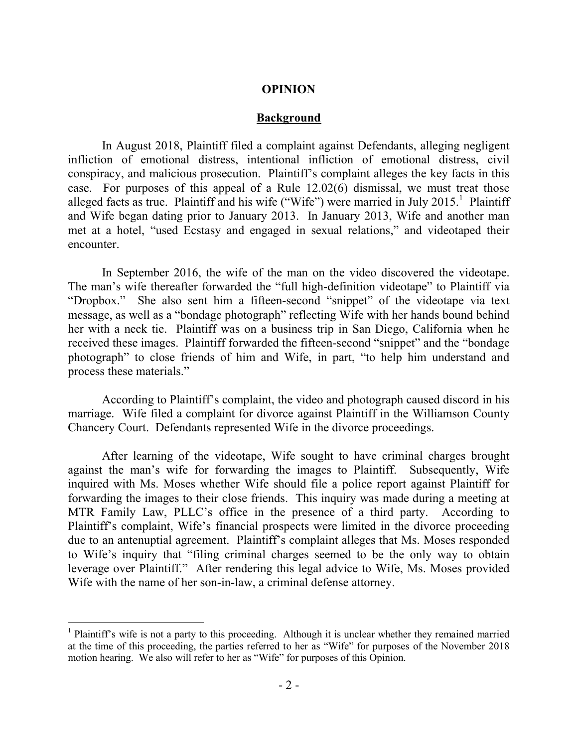#### **OPINION**

#### **Background**

In August 2018, Plaintiff filed a complaint against Defendants, alleging negligent infliction of emotional distress, intentional infliction of emotional distress, civil conspiracy, and malicious prosecution. Plaintiff's complaint alleges the key facts in this case. For purposes of this appeal of a Rule 12.02(6) dismissal, we must treat those alleged facts as true. Plaintiff and his wife ("Wife") were married in July 2015.<sup>1</sup> Plaintiff and Wife began dating prior to January 2013. In January 2013, Wife and another man met at a hotel, "used Ecstasy and engaged in sexual relations," and videotaped their encounter.

In September 2016, the wife of the man on the video discovered the videotape. The man's wife thereafter forwarded the "full high-definition videotape" to Plaintiff via "Dropbox." She also sent him a fifteen-second "snippet" of the videotape via text message, as well as a "bondage photograph" reflecting Wife with her hands bound behind her with a neck tie. Plaintiff was on a business trip in San Diego, California when he received these images. Plaintiff forwarded the fifteen-second "snippet" and the "bondage photograph" to close friends of him and Wife, in part, "to help him understand and process these materials."

According to Plaintiff's complaint, the video and photograph caused discord in his marriage. Wife filed a complaint for divorce against Plaintiff in the Williamson County Chancery Court. Defendants represented Wife in the divorce proceedings.

After learning of the videotape, Wife sought to have criminal charges brought against the man's wife for forwarding the images to Plaintiff. Subsequently, Wife inquired with Ms. Moses whether Wife should file a police report against Plaintiff for forwarding the images to their close friends. This inquiry was made during a meeting at MTR Family Law, PLLC's office in the presence of a third party. According to Plaintiff's complaint, Wife's financial prospects were limited in the divorce proceeding due to an antenuptial agreement. Plaintiff's complaint alleges that Ms. Moses responded to Wife's inquiry that "filing criminal charges seemed to be the only way to obtain leverage over Plaintiff." After rendering this legal advice to Wife, Ms. Moses provided Wife with the name of her son-in-law, a criminal defense attorney.

 $\overline{a}$ 

<sup>&</sup>lt;sup>1</sup> Plaintiff's wife is not a party to this proceeding. Although it is unclear whether they remained married at the time of this proceeding, the parties referred to her as "Wife" for purposes of the November 2018 motion hearing. We also will refer to her as "Wife" for purposes of this Opinion.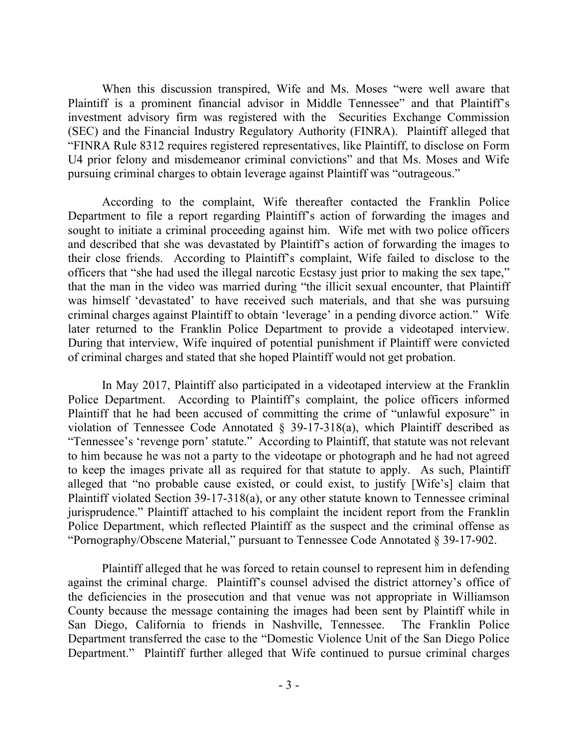When this discussion transpired, Wife and Ms. Moses "were well aware that Plaintiff is a prominent financial advisor in Middle Tennessee" and that Plaintiff's investment advisory firm was registered with the Securities Exchange Commission (SEC) and the Financial Industry Regulatory Authority (FINRA). Plaintiff alleged that "FINRA Rule 8312 requires registered representatives, like Plaintiff, to disclose on Form U4 prior felony and misdemeanor criminal convictions" and that Ms. Moses and Wife pursuing criminal charges to obtain leverage against Plaintiff was "outrageous."

According to the complaint, Wife thereafter contacted the Franklin Police Department to file a report regarding Plaintiff's action of forwarding the images and sought to initiate a criminal proceeding against him. Wife met with two police officers and described that she was devastated by Plaintiff's action of forwarding the images to their close friends. According to Plaintiff's complaint, Wife failed to disclose to the officers that "she had used the illegal narcotic Ecstasy just prior to making the sex tape," that the man in the video was married during "the illicit sexual encounter, that Plaintiff was himself 'devastated' to have received such materials, and that she was pursuing criminal charges against Plaintiff to obtain 'leverage' in a pending divorce action." Wife later returned to the Franklin Police Department to provide a videotaped interview. During that interview, Wife inquired of potential punishment if Plaintiff were convicted of criminal charges and stated that she hoped Plaintiff would not get probation.

In May 2017, Plaintiff also participated in a videotaped interview at the Franklin Police Department. According to Plaintiff's complaint, the police officers informed Plaintiff that he had been accused of committing the crime of "unlawful exposure" in violation of Tennessee Code Annotated § 39-17-318(a), which Plaintiff described as "Tennessee's 'revenge porn' statute." According to Plaintiff, that statute was not relevant to him because he was not a party to the videotape or photograph and he had not agreed to keep the images private all as required for that statute to apply. As such, Plaintiff alleged that "no probable cause existed, or could exist, to justify [Wife's] claim that Plaintiff violated Section 39-17-318(a), or any other statute known to Tennessee criminal jurisprudence." Plaintiff attached to his complaint the incident report from the Franklin Police Department, which reflected Plaintiff as the suspect and the criminal offense as "Pornography/Obscene Material," pursuant to Tennessee Code Annotated § 39-17-902.

Plaintiff alleged that he was forced to retain counsel to represent him in defending against the criminal charge. Plaintiff's counsel advised the district attorney's office of the deficiencies in the prosecution and that venue was not appropriate in Williamson County because the message containing the images had been sent by Plaintiff while in San Diego, California to friends in Nashville, Tennessee. The Franklin Police Department transferred the case to the "Domestic Violence Unit of the San Diego Police Department." Plaintiff further alleged that Wife continued to pursue criminal charges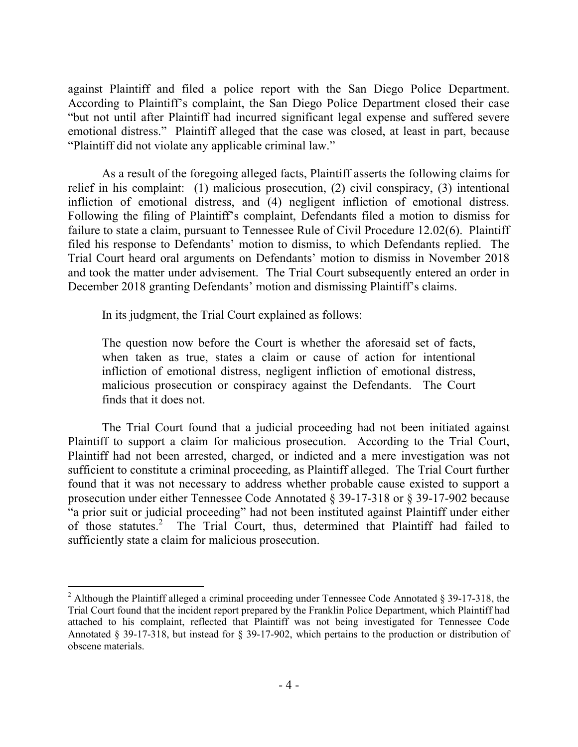against Plaintiff and filed a police report with the San Diego Police Department. According to Plaintiff's complaint, the San Diego Police Department closed their case "but not until after Plaintiff had incurred significant legal expense and suffered severe emotional distress." Plaintiff alleged that the case was closed, at least in part, because "Plaintiff did not violate any applicable criminal law."

As a result of the foregoing alleged facts, Plaintiff asserts the following claims for relief in his complaint: (1) malicious prosecution, (2) civil conspiracy, (3) intentional infliction of emotional distress, and (4) negligent infliction of emotional distress. Following the filing of Plaintiff's complaint, Defendants filed a motion to dismiss for failure to state a claim, pursuant to Tennessee Rule of Civil Procedure 12.02(6). Plaintiff filed his response to Defendants' motion to dismiss, to which Defendants replied. The Trial Court heard oral arguments on Defendants' motion to dismiss in November 2018 and took the matter under advisement. The Trial Court subsequently entered an order in December 2018 granting Defendants' motion and dismissing Plaintiff's claims.

In its judgment, the Trial Court explained as follows:

 $\overline{a}$ 

The question now before the Court is whether the aforesaid set of facts, when taken as true, states a claim or cause of action for intentional infliction of emotional distress, negligent infliction of emotional distress, malicious prosecution or conspiracy against the Defendants. The Court finds that it does not.

The Trial Court found that a judicial proceeding had not been initiated against Plaintiff to support a claim for malicious prosecution. According to the Trial Court, Plaintiff had not been arrested, charged, or indicted and a mere investigation was not sufficient to constitute a criminal proceeding, as Plaintiff alleged. The Trial Court further found that it was not necessary to address whether probable cause existed to support a prosecution under either Tennessee Code Annotated § 39-17-318 or § 39-17-902 because "a prior suit or judicial proceeding" had not been instituted against Plaintiff under either of those statutes.<sup>2</sup> The Trial Court, thus, determined that Plaintiff had failed to sufficiently state a claim for malicious prosecution.

<sup>&</sup>lt;sup>2</sup> Although the Plaintiff alleged a criminal proceeding under Tennessee Code Annotated  $\S$  39-17-318, the Trial Court found that the incident report prepared by the Franklin Police Department, which Plaintiff had attached to his complaint, reflected that Plaintiff was not being investigated for Tennessee Code Annotated § 39-17-318, but instead for § 39-17-902, which pertains to the production or distribution of obscene materials.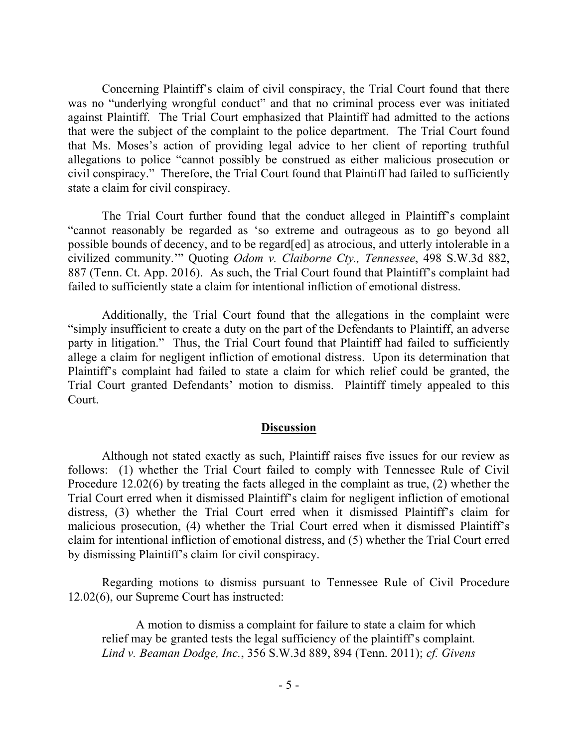Concerning Plaintiff's claim of civil conspiracy, the Trial Court found that there was no "underlying wrongful conduct" and that no criminal process ever was initiated against Plaintiff. The Trial Court emphasized that Plaintiff had admitted to the actions that were the subject of the complaint to the police department. The Trial Court found that Ms. Moses's action of providing legal advice to her client of reporting truthful allegations to police "cannot possibly be construed as either malicious prosecution or civil conspiracy." Therefore, the Trial Court found that Plaintiff had failed to sufficiently state a claim for civil conspiracy.

The Trial Court further found that the conduct alleged in Plaintiff's complaint "cannot reasonably be regarded as 'so extreme and outrageous as to go beyond all possible bounds of decency, and to be regard[ed] as atrocious, and utterly intolerable in a civilized community.'" Quoting *Odom v. Claiborne Cty., Tennessee*, 498 S.W.3d 882, 887 (Tenn. Ct. App. 2016). As such, the Trial Court found that Plaintiff's complaint had failed to sufficiently state a claim for intentional infliction of emotional distress.

Additionally, the Trial Court found that the allegations in the complaint were "simply insufficient to create a duty on the part of the Defendants to Plaintiff, an adverse party in litigation." Thus, the Trial Court found that Plaintiff had failed to sufficiently allege a claim for negligent infliction of emotional distress. Upon its determination that Plaintiff's complaint had failed to state a claim for which relief could be granted, the Trial Court granted Defendants' motion to dismiss. Plaintiff timely appealed to this Court.

#### **Discussion**

Although not stated exactly as such, Plaintiff raises five issues for our review as follows: (1) whether the Trial Court failed to comply with Tennessee Rule of Civil Procedure 12.02(6) by treating the facts alleged in the complaint as true, (2) whether the Trial Court erred when it dismissed Plaintiff's claim for negligent infliction of emotional distress, (3) whether the Trial Court erred when it dismissed Plaintiff's claim for malicious prosecution, (4) whether the Trial Court erred when it dismissed Plaintiff's claim for intentional infliction of emotional distress, and (5) whether the Trial Court erred by dismissing Plaintiff's claim for civil conspiracy.

Regarding motions to dismiss pursuant to Tennessee Rule of Civil Procedure 12.02(6), our Supreme Court has instructed:

A motion to dismiss a complaint for failure to state a claim for which relief may be granted tests the legal sufficiency of the plaintiff's complaint*. Lind v. Beaman Dodge, Inc.*, 356 S.W.3d 889, 894 (Tenn. 2011); *cf. Givens*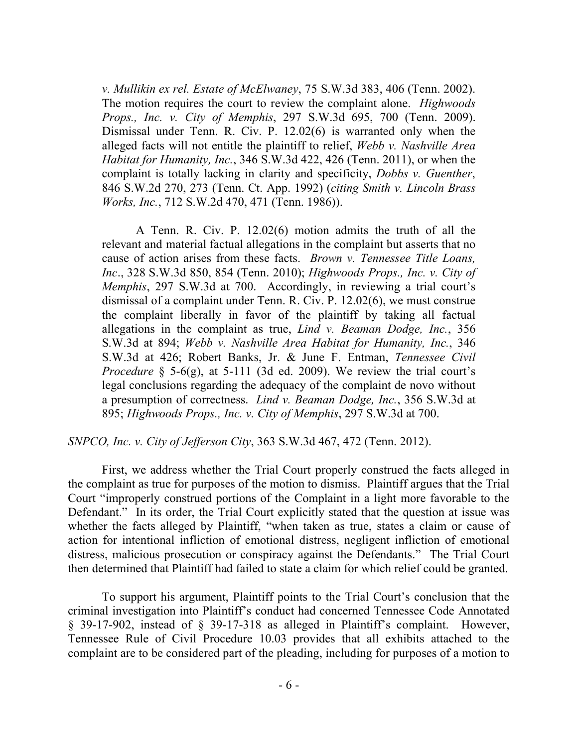*v. Mullikin ex rel. Estate of McElwaney*, 75 S.W.3d 383, 406 (Tenn. 2002). The motion requires the court to review the complaint alone. *Highwoods Props., Inc. v. City of Memphis*, 297 S.W.3d 695, 700 (Tenn. 2009). Dismissal under Tenn. R. Civ. P. 12.02(6) is warranted only when the alleged facts will not entitle the plaintiff to relief, *Webb v. Nashville Area Habitat for Humanity, Inc.*, 346 S.W.3d 422, 426 (Tenn. 2011), or when the complaint is totally lacking in clarity and specificity, *Dobbs v. Guenther*, 846 S.W.2d 270, 273 (Tenn. Ct. App. 1992) (*citing Smith v. Lincoln Brass Works, Inc.*, 712 S.W.2d 470, 471 (Tenn. 1986)).

A Tenn. R. Civ. P. 12.02(6) motion admits the truth of all the relevant and material factual allegations in the complaint but asserts that no cause of action arises from these facts. *Brown v. Tennessee Title Loans, Inc*., 328 S.W.3d 850, 854 (Tenn. 2010); *Highwoods Props., Inc. v. City of Memphis*, 297 S.W.3d at 700. Accordingly, in reviewing a trial court's dismissal of a complaint under Tenn. R. Civ. P. 12.02(6), we must construe the complaint liberally in favor of the plaintiff by taking all factual allegations in the complaint as true, *Lind v. Beaman Dodge, Inc.*, 356 S.W.3d at 894; *Webb v. Nashville Area Habitat for Humanity, Inc.*, 346 S.W.3d at 426; Robert Banks, Jr. & June F. Entman, *Tennessee Civil Procedure* § 5-6(g), at 5-111 (3d ed. 2009). We review the trial court's legal conclusions regarding the adequacy of the complaint de novo without a presumption of correctness. *Lind v. Beaman Dodge, Inc.*, 356 S.W.3d at 895; *Highwoods Props., Inc. v. City of Memphis*, 297 S.W.3d at 700.

#### *SNPCO, Inc. v. City of Jefferson City*, 363 S.W.3d 467, 472 (Tenn. 2012).

First, we address whether the Trial Court properly construed the facts alleged in the complaint as true for purposes of the motion to dismiss. Plaintiff argues that the Trial Court "improperly construed portions of the Complaint in a light more favorable to the Defendant." In its order, the Trial Court explicitly stated that the question at issue was whether the facts alleged by Plaintiff, "when taken as true, states a claim or cause of action for intentional infliction of emotional distress, negligent infliction of emotional distress, malicious prosecution or conspiracy against the Defendants." The Trial Court then determined that Plaintiff had failed to state a claim for which relief could be granted.

To support his argument, Plaintiff points to the Trial Court's conclusion that the criminal investigation into Plaintiff's conduct had concerned Tennessee Code Annotated § 39-17-902, instead of § 39-17-318 as alleged in Plaintiff's complaint. However, Tennessee Rule of Civil Procedure 10.03 provides that all exhibits attached to the complaint are to be considered part of the pleading, including for purposes of a motion to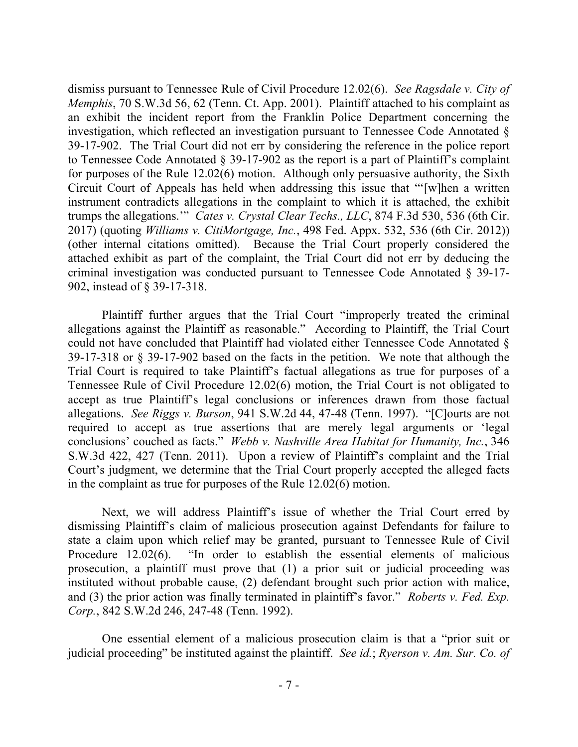dismiss pursuant to Tennessee Rule of Civil Procedure 12.02(6). *See Ragsdale v. City of Memphis*, 70 S.W.3d 56, 62 (Tenn. Ct. App. 2001). Plaintiff attached to his complaint as an exhibit the incident report from the Franklin Police Department concerning the investigation, which reflected an investigation pursuant to Tennessee Code Annotated § 39-17-902. The Trial Court did not err by considering the reference in the police report to Tennessee Code Annotated § 39-17-902 as the report is a part of Plaintiff's complaint for purposes of the Rule 12.02(6) motion. Although only persuasive authority, the Sixth Circuit Court of Appeals has held when addressing this issue that "'[w]hen a written instrument contradicts allegations in the complaint to which it is attached, the exhibit trumps the allegations.'" *Cates v. Crystal Clear Techs., LLC*, 874 F.3d 530, 536 (6th Cir. 2017) (quoting *Williams v. CitiMortgage, Inc.*, 498 Fed. Appx. 532, 536 (6th Cir. 2012)) (other internal citations omitted). Because the Trial Court properly considered the attached exhibit as part of the complaint, the Trial Court did not err by deducing the criminal investigation was conducted pursuant to Tennessee Code Annotated § 39-17- 902, instead of § 39-17-318.

Plaintiff further argues that the Trial Court "improperly treated the criminal allegations against the Plaintiff as reasonable." According to Plaintiff, the Trial Court could not have concluded that Plaintiff had violated either Tennessee Code Annotated § 39-17-318 or § 39-17-902 based on the facts in the petition. We note that although the Trial Court is required to take Plaintiff's factual allegations as true for purposes of a Tennessee Rule of Civil Procedure 12.02(6) motion, the Trial Court is not obligated to accept as true Plaintiff's legal conclusions or inferences drawn from those factual allegations. *See Riggs v. Burson*, 941 S.W.2d 44, 47-48 (Tenn. 1997). "[C]ourts are not required to accept as true assertions that are merely legal arguments or 'legal conclusions' couched as facts." *Webb v. Nashville Area Habitat for Humanity, Inc.*, 346 S.W.3d 422, 427 (Tenn. 2011). Upon a review of Plaintiff's complaint and the Trial Court's judgment, we determine that the Trial Court properly accepted the alleged facts in the complaint as true for purposes of the Rule 12.02(6) motion.

Next, we will address Plaintiff's issue of whether the Trial Court erred by dismissing Plaintiff's claim of malicious prosecution against Defendants for failure to state a claim upon which relief may be granted, pursuant to Tennessee Rule of Civil Procedure 12.02(6). "In order to establish the essential elements of malicious prosecution, a plaintiff must prove that (1) a prior suit or judicial proceeding was instituted without probable cause, (2) defendant brought such prior action with malice, and (3) the prior action was finally terminated in plaintiff's favor." *Roberts v. Fed. Exp. Corp.*, 842 S.W.2d 246, 247-48 (Tenn. 1992).

One essential element of a malicious prosecution claim is that a "prior suit or judicial proceeding" be instituted against the plaintiff. *See id.*; *Ryerson v. Am. Sur. Co. of*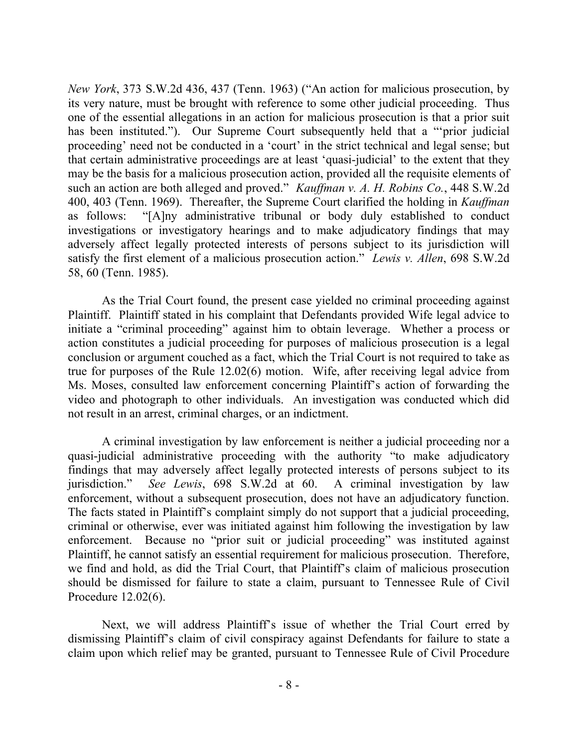*New York*, 373 S.W.2d 436, 437 (Tenn. 1963) ("An action for malicious prosecution, by its very nature, must be brought with reference to some other judicial proceeding. Thus one of the essential allegations in an action for malicious prosecution is that a prior suit has been instituted."). Our Supreme Court subsequently held that a "prior judicial proceeding' need not be conducted in a 'court' in the strict technical and legal sense; but that certain administrative proceedings are at least 'quasi-judicial' to the extent that they may be the basis for a malicious prosecution action, provided all the requisite elements of such an action are both alleged and proved." *Kauffman v. A. H. Robins Co.*, 448 S.W.2d 400, 403 (Tenn. 1969). Thereafter, the Supreme Court clarified the holding in *Kauffman* as follows: "[A]ny administrative tribunal or body duly established to conduct investigations or investigatory hearings and to make adjudicatory findings that may adversely affect legally protected interests of persons subject to its jurisdiction will satisfy the first element of a malicious prosecution action." *Lewis v. Allen*, 698 S.W.2d 58, 60 (Tenn. 1985).

As the Trial Court found, the present case yielded no criminal proceeding against Plaintiff. Plaintiff stated in his complaint that Defendants provided Wife legal advice to initiate a "criminal proceeding" against him to obtain leverage. Whether a process or action constitutes a judicial proceeding for purposes of malicious prosecution is a legal conclusion or argument couched as a fact, which the Trial Court is not required to take as true for purposes of the Rule 12.02(6) motion. Wife, after receiving legal advice from Ms. Moses, consulted law enforcement concerning Plaintiff's action of forwarding the video and photograph to other individuals. An investigation was conducted which did not result in an arrest, criminal charges, or an indictment.

A criminal investigation by law enforcement is neither a judicial proceeding nor a quasi-judicial administrative proceeding with the authority "to make adjudicatory findings that may adversely affect legally protected interests of persons subject to its jurisdiction." *See Lewis*, 698 S.W.2d at 60. A criminal investigation by law enforcement, without a subsequent prosecution, does not have an adjudicatory function. The facts stated in Plaintiff's complaint simply do not support that a judicial proceeding, criminal or otherwise, ever was initiated against him following the investigation by law enforcement. Because no "prior suit or judicial proceeding" was instituted against Plaintiff, he cannot satisfy an essential requirement for malicious prosecution. Therefore, we find and hold, as did the Trial Court, that Plaintiff's claim of malicious prosecution should be dismissed for failure to state a claim, pursuant to Tennessee Rule of Civil Procedure 12.02(6).

Next, we will address Plaintiff's issue of whether the Trial Court erred by dismissing Plaintiff's claim of civil conspiracy against Defendants for failure to state a claim upon which relief may be granted, pursuant to Tennessee Rule of Civil Procedure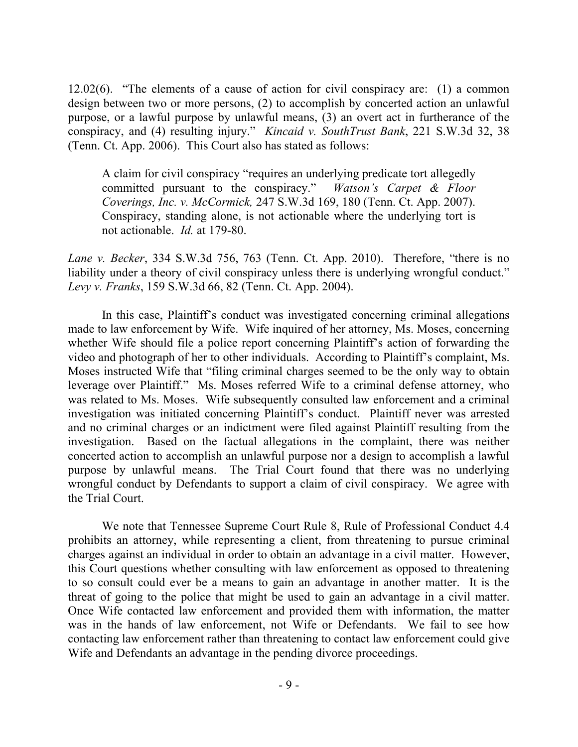12.02(6). "The elements of a cause of action for civil conspiracy are: (1) a common design between two or more persons, (2) to accomplish by concerted action an unlawful purpose, or a lawful purpose by unlawful means, (3) an overt act in furtherance of the conspiracy, and (4) resulting injury." *Kincaid v. SouthTrust Bank*, 221 S.W.3d 32, 38 (Tenn. Ct. App. 2006). This Court also has stated as follows:

A claim for civil conspiracy "requires an underlying predicate tort allegedly committed pursuant to the conspiracy." *Watson's Carpet & Floor Coverings, Inc. v. McCormick,* 247 S.W.3d 169, 180 (Tenn. Ct. App. 2007). Conspiracy, standing alone, is not actionable where the underlying tort is not actionable. *Id.* at 179-80.

*Lane v. Becker*, 334 S.W.3d 756, 763 (Tenn. Ct. App. 2010). Therefore, "there is no liability under a theory of civil conspiracy unless there is underlying wrongful conduct." *Levy v. Franks*, 159 S.W.3d 66, 82 (Tenn. Ct. App. 2004).

In this case, Plaintiff's conduct was investigated concerning criminal allegations made to law enforcement by Wife. Wife inquired of her attorney, Ms. Moses, concerning whether Wife should file a police report concerning Plaintiff's action of forwarding the video and photograph of her to other individuals. According to Plaintiff's complaint, Ms. Moses instructed Wife that "filing criminal charges seemed to be the only way to obtain leverage over Plaintiff." Ms. Moses referred Wife to a criminal defense attorney, who was related to Ms. Moses. Wife subsequently consulted law enforcement and a criminal investigation was initiated concerning Plaintiff's conduct. Plaintiff never was arrested and no criminal charges or an indictment were filed against Plaintiff resulting from the investigation. Based on the factual allegations in the complaint, there was neither concerted action to accomplish an unlawful purpose nor a design to accomplish a lawful purpose by unlawful means. The Trial Court found that there was no underlying wrongful conduct by Defendants to support a claim of civil conspiracy. We agree with the Trial Court.

We note that Tennessee Supreme Court Rule 8, Rule of Professional Conduct 4.4 prohibits an attorney, while representing a client, from threatening to pursue criminal charges against an individual in order to obtain an advantage in a civil matter. However, this Court questions whether consulting with law enforcement as opposed to threatening to so consult could ever be a means to gain an advantage in another matter. It is the threat of going to the police that might be used to gain an advantage in a civil matter. Once Wife contacted law enforcement and provided them with information, the matter was in the hands of law enforcement, not Wife or Defendants. We fail to see how contacting law enforcement rather than threatening to contact law enforcement could give Wife and Defendants an advantage in the pending divorce proceedings.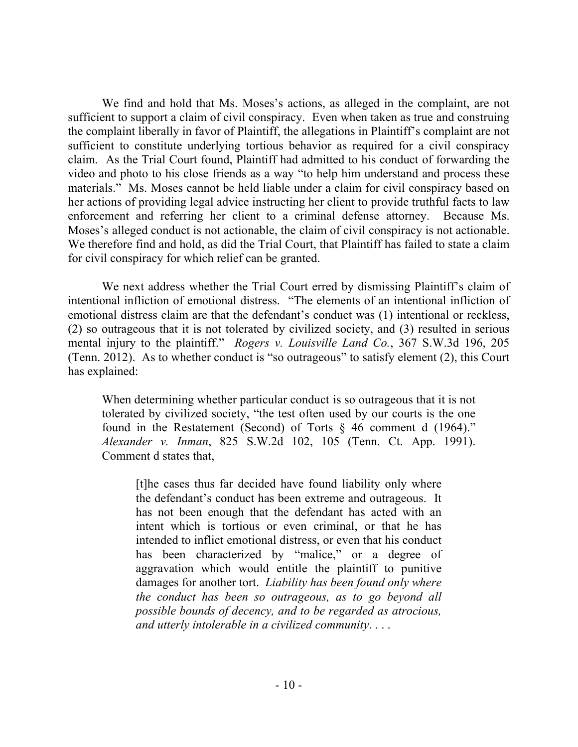We find and hold that Ms. Moses's actions, as alleged in the complaint, are not sufficient to support a claim of civil conspiracy. Even when taken as true and construing the complaint liberally in favor of Plaintiff, the allegations in Plaintiff's complaint are not sufficient to constitute underlying tortious behavior as required for a civil conspiracy claim. As the Trial Court found, Plaintiff had admitted to his conduct of forwarding the video and photo to his close friends as a way "to help him understand and process these materials." Ms. Moses cannot be held liable under a claim for civil conspiracy based on her actions of providing legal advice instructing her client to provide truthful facts to law enforcement and referring her client to a criminal defense attorney. Because Ms. Moses's alleged conduct is not actionable, the claim of civil conspiracy is not actionable. We therefore find and hold, as did the Trial Court, that Plaintiff has failed to state a claim for civil conspiracy for which relief can be granted.

We next address whether the Trial Court erred by dismissing Plaintiff's claim of intentional infliction of emotional distress. "The elements of an intentional infliction of emotional distress claim are that the defendant's conduct was (1) intentional or reckless, (2) so outrageous that it is not tolerated by civilized society, and (3) resulted in serious mental injury to the plaintiff." *Rogers v. Louisville Land Co.*, 367 S.W.3d 196, 205 (Tenn. 2012). As to whether conduct is "so outrageous" to satisfy element (2), this Court has explained:

When determining whether particular conduct is so outrageous that it is not tolerated by civilized society, "the test often used by our courts is the one found in the Restatement (Second) of Torts § 46 comment d (1964)." *Alexander v. Inman*, 825 S.W.2d 102, 105 (Tenn. Ct. App. 1991). Comment d states that,

[t]he cases thus far decided have found liability only where the defendant's conduct has been extreme and outrageous. It has not been enough that the defendant has acted with an intent which is tortious or even criminal, or that he has intended to inflict emotional distress, or even that his conduct has been characterized by "malice," or a degree of aggravation which would entitle the plaintiff to punitive damages for another tort. *Liability has been found only where the conduct has been so outrageous, as to go beyond all possible bounds of decency, and to be regarded as atrocious, and utterly intolerable in a civilized community*. . . .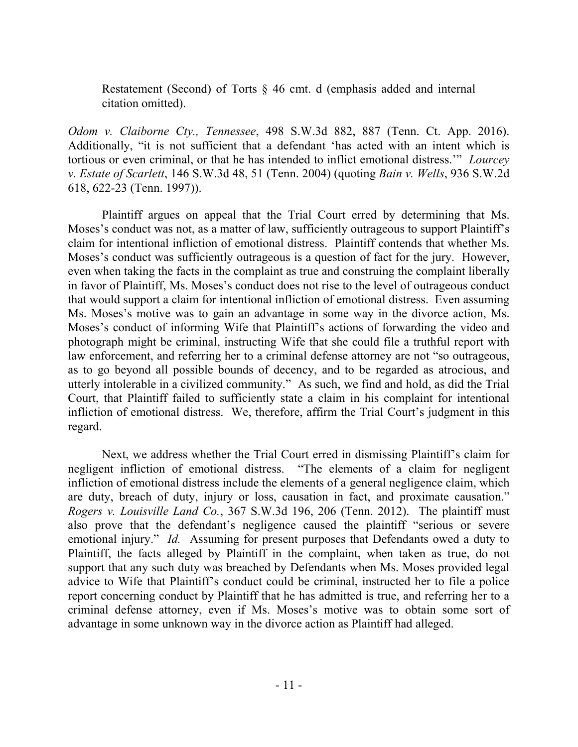Restatement (Second) of Torts § 46 cmt. d (emphasis added and internal citation omitted).

*Odom v. Claiborne Cty., Tennessee*, 498 S.W.3d 882, 887 (Tenn. Ct. App. 2016). Additionally, "it is not sufficient that a defendant 'has acted with an intent which is tortious or even criminal, or that he has intended to inflict emotional distress.'" *Lourcey v. Estate of Scarlett*, 146 S.W.3d 48, 51 (Tenn. 2004) (quoting *Bain v. Wells*, 936 S.W.2d 618, 622-23 (Tenn. 1997)).

Plaintiff argues on appeal that the Trial Court erred by determining that Ms. Moses's conduct was not, as a matter of law, sufficiently outrageous to support Plaintiff's claim for intentional infliction of emotional distress. Plaintiff contends that whether Ms. Moses's conduct was sufficiently outrageous is a question of fact for the jury. However, even when taking the facts in the complaint as true and construing the complaint liberally in favor of Plaintiff, Ms. Moses's conduct does not rise to the level of outrageous conduct that would support a claim for intentional infliction of emotional distress. Even assuming Ms. Moses's motive was to gain an advantage in some way in the divorce action, Ms. Moses's conduct of informing Wife that Plaintiff's actions of forwarding the video and photograph might be criminal, instructing Wife that she could file a truthful report with law enforcement, and referring her to a criminal defense attorney are not "so outrageous, as to go beyond all possible bounds of decency, and to be regarded as atrocious, and utterly intolerable in a civilized community." As such, we find and hold, as did the Trial Court, that Plaintiff failed to sufficiently state a claim in his complaint for intentional infliction of emotional distress. We, therefore, affirm the Trial Court's judgment in this regard.

Next, we address whether the Trial Court erred in dismissing Plaintiff's claim for negligent infliction of emotional distress. "The elements of a claim for negligent infliction of emotional distress include the elements of a general negligence claim, which are duty, breach of duty, injury or loss, causation in fact, and proximate causation." *Rogers v. Louisville Land Co.*, 367 S.W.3d 196, 206 (Tenn. 2012). The plaintiff must also prove that the defendant's negligence caused the plaintiff "serious or severe emotional injury." *Id.* Assuming for present purposes that Defendants owed a duty to Plaintiff, the facts alleged by Plaintiff in the complaint, when taken as true, do not support that any such duty was breached by Defendants when Ms. Moses provided legal advice to Wife that Plaintiff's conduct could be criminal, instructed her to file a police report concerning conduct by Plaintiff that he has admitted is true, and referring her to a criminal defense attorney, even if Ms. Moses's motive was to obtain some sort of advantage in some unknown way in the divorce action as Plaintiff had alleged.